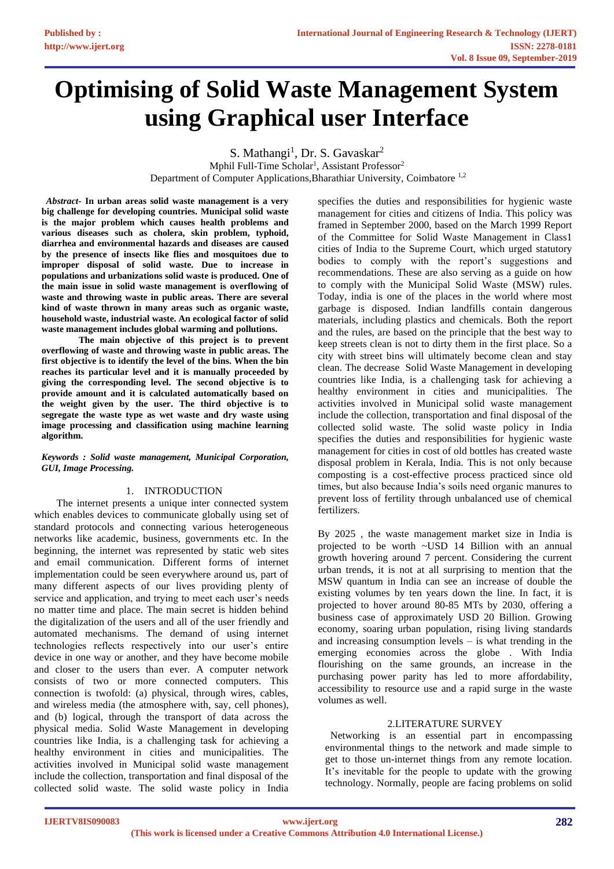# **Optimising of Solid Waste Management System using Graphical user Interface**

S. Mathangi<sup>1</sup>, Dr. S. Gavaskar<sup>2</sup>

Mphil Full-Time Scholar<sup>1</sup>, Assistant Professor<sup>2</sup> Department of Computer Applications,Bharathiar University, Coimbatore 1,2

*Abstract***- In urban areas solid waste management is a very big challenge for developing countries. Municipal solid waste is the major problem which causes health problems and various diseases such as cholera, skin problem, typhoid, diarrhea and environmental hazards and diseases are caused by the presence of insects like flies and mosquitoes due to improper disposal of solid waste. Due to increase in populations and urbanizations solid waste is produced. One of the main issue in solid waste management is overflowing of waste and throwing waste in public areas. There are several kind of waste thrown in many areas such as organic waste, household waste, industrial waste. An ecological factor of solid waste management includes global warming and pollutions.** 

**The main objective of this project is to prevent overflowing of waste and throwing waste in public areas. The first objective is to identify the level of the bins. When the bin reaches its particular level and it is manually proceeded by giving the corresponding level. The second objective is to provide amount and it is calculated automatically based on the weight given by the user. The third objective is to segregate the waste type as wet waste and dry waste using image processing and classification using machine learning algorithm.**

#### *Keywords : Solid waste management, Municipal Corporation, GUI, Image Processing.*

# 1. INTRODUCTION

The internet presents a unique inter connected system which enables devices to communicate globally using set of standard protocols and connecting various heterogeneous networks like academic, business, governments etc. In the beginning, the internet was represented by static web sites and email communication. Different forms of internet implementation could be seen everywhere around us, part of many different aspects of our lives providing plenty of service and application, and trying to meet each user's needs no matter time and place. The main secret is hidden behind the digitalization of the users and all of the user friendly and automated mechanisms. The demand of using internet technologies reflects respectively into our user's entire device in one way or another, and they have become mobile and closer to the users than ever. A computer network consists of two or more connected computers. This connection is twofold: (a) physical, through wires, cables, and wireless media (the atmosphere with, say, cell phones), and (b) logical, through the transport of data across the physical media. Solid Waste Management in developing countries like India, is a challenging task for achieving a healthy environment in cities and municipalities. The activities involved in Municipal solid waste management include the collection, transportation and final disposal of the collected solid waste. The solid waste policy in India

specifies the duties and responsibilities for hygienic waste management for cities and citizens of India. This policy was framed in September 2000, based on the March 1999 Report of the Committee for Solid Waste Management in Class1 cities of India to the Supreme Court, which urged statutory bodies to comply with the report's suggestions and recommendations. These are also serving as a guide on how to comply with the Municipal Solid Waste (MSW) rules. Today, india is one of the places in the world where most garbage is disposed. Indian landfills contain dangerous materials, including plastics and chemicals. Both the report and the rules, are based on the principle that the best way to keep streets clean is not to dirty them in the first place. So a city with street bins will ultimately become clean and stay clean. The decrease Solid Waste Management in developing countries like India, is a challenging task for achieving a healthy environment in cities and municipalities. The activities involved in Municipal solid waste management include the collection, transportation and final disposal of the collected solid waste. The solid waste policy in India specifies the duties and responsibilities for hygienic waste management for cities in cost of old bottles has created waste disposal problem in Kerala, India. This is not only because composting is a cost-effective process practiced since old times, but also because India's soils need organic manures to prevent loss of fertility through unbalanced use of chemical fertilizers.

By 2025 , the waste management market size in India is projected to be worth ~USD 14 Billion with an annual growth hovering around 7 percent. Considering the current urban trends, it is not at all surprising to mention that the MSW quantum in India can see an increase of double the existing volumes by ten years down the line. In fact, it is projected to hover around 80-85 MTs by 2030, offering a business case of approximately USD 20 Billion. Growing economy, soaring urban population, rising living standards and increasing consumption levels – is what trending in the emerging economies across the globe . With India flourishing on the same grounds, an increase in the purchasing power parity has led to more affordability, accessibility to resource use and a rapid surge in the waste volumes as well.

#### 2.LITERATURE SURVEY

 Networking is an essential part in encompassing environmental things to the network and made simple to get to those un-internet things from any remote location. It's inevitable for the people to update with the growing technology. Normally, people are facing problems on solid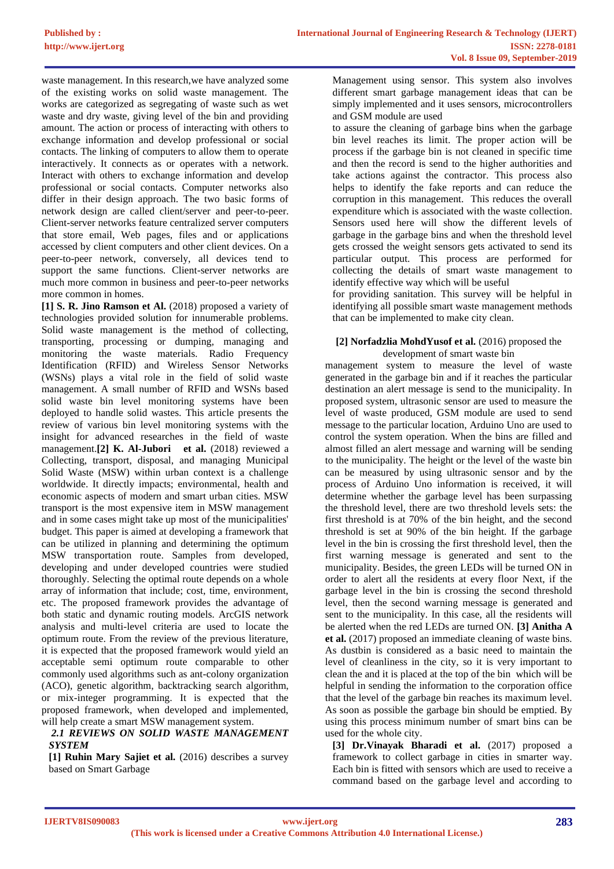waste management. In this research,we have analyzed some of the existing works on solid waste management. The works are categorized as segregating of waste such as wet waste and dry waste, giving level of the bin and providing amount. The action or process of interacting with others to exchange information and develop professional or social contacts. The linking of computers to allow them to operate interactively. It connects as or operates with a network. Interact with others to exchange information and develop professional or social contacts. Computer networks also differ in their design approach. The two basic forms of network design are called client/server and peer-to-peer. Client-server networks feature centralized server computers that store email, Web pages, files and or applications accessed by client computers and other client devices. On a peer-to-peer network, conversely, all devices tend to support the same functions. Client-server networks are much more common in business and peer-to-peer networks more common in homes.

**[1] S. R. Jino Ramson et Al.** (2018) proposed a variety of technologies provided solution for innumerable problems. Solid waste management is the method of collecting, transporting, processing or dumping, managing and monitoring the waste materials. Radio Frequency Identification (RFID) and Wireless Sensor Networks (WSNs) plays a vital role in the field of solid waste management. A small number of RFID and WSNs based solid waste bin level monitoring systems have been deployed to handle solid wastes. This article presents the review of various bin level monitoring systems with the insight for advanced researches in the field of waste management.**[2] K. Al-Jubori et al.** (2018) reviewed a Collecting, transport, disposal, and managing Municipal Solid Waste (MSW) within urban context is a challenge worldwide. It directly impacts; environmental, health and economic aspects of modern and smart urban cities. MSW transport is the most expensive item in MSW management and in some cases might take up most of the municipalities' budget. This paper is aimed at developing a framework that can be utilized in planning and determining the optimum MSW transportation route. Samples from developed, developing and under developed countries were studied thoroughly. Selecting the optimal route depends on a whole array of information that include; cost, time, environment, etc. The proposed framework provides the advantage of both static and dynamic routing models. ArcGIS network analysis and multi-level criteria are used to locate the optimum route. From the review of the previous literature, it is expected that the proposed framework would yield an acceptable semi optimum route comparable to other commonly used algorithms such as ant-colony organization (ACO), genetic algorithm, backtracking search algorithm, or mix-integer programming. It is expected that the proposed framework, when developed and implemented, will help create a smart MSW management system.

#### *2.1 REVIEWS ON SOLID WASTE MANAGEMENT SYSTEM*

**[1] Ruhin Mary Sajiet et al.** (2016) describes a survey based on Smart Garbage

Management using sensor. This system also involves different smart garbage management ideas that can be simply implemented and it uses sensors, microcontrollers and GSM module are used

to assure the cleaning of garbage bins when the garbage bin level reaches its limit. The proper action will be process if the garbage bin is not cleaned in specific time and then the record is send to the higher authorities and take actions against the contractor. This process also helps to identify the fake reports and can reduce the corruption in this management. This reduces the overall expenditure which is associated with the waste collection. Sensors used here will show the different levels of garbage in the garbage bins and when the threshold level gets crossed the weight sensors gets activated to send its particular output. This process are performed for collecting the details of smart waste management to identify effective way which will be useful

for providing sanitation. This survey will be helpful in identifying all possible smart waste management methods that can be implemented to make city clean.

#### **[2] Norfadzlia MohdYusof et al.** (2016) proposed the development of smart waste bin

management system to measure the level of waste generated in the garbage bin and if it reaches the particular destination an alert message is send to the municipality. In proposed system, ultrasonic sensor are used to measure the level of waste produced, GSM module are used to send message to the particular location, Arduino Uno are used to control the system operation. When the bins are filled and almost filled an alert message and warning will be sending to the municipality. The height or the level of the waste bin can be measured by using ultrasonic sensor and by the process of Arduino Uno information is received, it will determine whether the garbage level has been surpassing the threshold level, there are two threshold levels sets: the first threshold is at 70% of the bin height, and the second threshold is set at 90% of the bin height. If the garbage level in the bin is crossing the first threshold level, then the first warning message is generated and sent to the municipality. Besides, the green LEDs will be turned ON in order to alert all the residents at every floor Next, if the garbage level in the bin is crossing the second threshold level, then the second warning message is generated and sent to the municipality. In this case, all the residents will be alerted when the red LEDs are turned ON. **[3] Anitha A et al.** (2017) proposed an immediate cleaning of waste bins. As dustbin is considered as a basic need to maintain the level of cleanliness in the city, so it is very important to clean the and it is placed at the top of the bin which will be helpful in sending the information to the corporation office that the level of the garbage bin reaches its maximum level. As soon as possible the garbage bin should be emptied. By using this process minimum number of smart bins can be used for the whole city.

**[3] Dr.Vinayak Bharadi et al.** (2017) proposed a framework to collect garbage in cities in smarter way. Each bin is fitted with sensors which are used to receive a command based on the garbage level and according to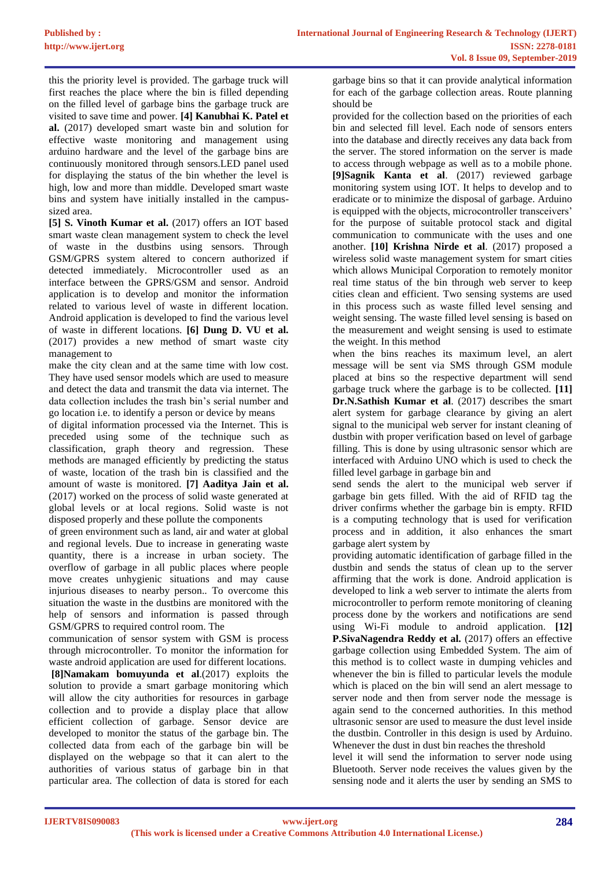this the priority level is provided. The garbage truck will first reaches the place where the bin is filled depending on the filled level of garbage bins the garbage truck are visited to save time and power. **[4] Kanubhai K. Patel et al.** (2017) developed smart waste bin and solution for effective waste monitoring and management using arduino hardware and the level of the garbage bins are continuously monitored through sensors.LED panel used for displaying the status of the bin whether the level is high, low and more than middle. Developed smart waste bins and system have initially installed in the campussized area.

**[5] S. Vinoth Kumar et al.** (2017) offers an IOT based smart waste clean management system to check the level of waste in the dustbins using sensors. Through GSM/GPRS system altered to concern authorized if detected immediately. Microcontroller used as an interface between the GPRS/GSM and sensor. Android application is to develop and monitor the information related to various level of waste in different location. Android application is developed to find the various level of waste in different locations. **[6] Dung D. VU et al.** (2017) provides a new method of smart waste city management to

make the city clean and at the same time with low cost. They have used sensor models which are used to measure and detect the data and transmit the data via internet. The data collection includes the trash bin's serial number and go location i.e. to identify a person or device by means

of digital information processed via the Internet. This is preceded using some of the technique such as classification, graph theory and regression. These methods are managed efficiently by predicting the status of waste, location of the trash bin is classified and the amount of waste is monitored. **[7] Aaditya Jain et al.** (2017) worked on the process of solid waste generated at global levels or at local regions. Solid waste is not disposed properly and these pollute the components

of green environment such as land, air and water at global and regional levels. Due to increase in generating waste quantity, there is a increase in urban society. The overflow of garbage in all public places where people move creates unhygienic situations and may cause injurious diseases to nearby person.. To overcome this situation the waste in the dustbins are monitored with the help of sensors and information is passed through GSM/GPRS to required control room. The

communication of sensor system with GSM is process through microcontroller. To monitor the information for waste android application are used for different locations.

**[8]Namakam bomuyunda et al**.(2017) exploits the solution to provide a smart garbage monitoring which will allow the city authorities for resources in garbage collection and to provide a display place that allow efficient collection of garbage. Sensor device are developed to monitor the status of the garbage bin. The collected data from each of the garbage bin will be displayed on the webpage so that it can alert to the authorities of various status of garbage bin in that particular area. The collection of data is stored for each

garbage bins so that it can provide analytical information for each of the garbage collection areas. Route planning should be

provided for the collection based on the priorities of each bin and selected fill level. Each node of sensors enters into the database and directly receives any data back from the server. The stored information on the server is made to access through webpage as well as to a mobile phone. **[9]Sagnik Kanta et al**. (2017) reviewed garbage monitoring system using IOT. It helps to develop and to eradicate or to minimize the disposal of garbage. Arduino is equipped with the objects, microcontroller transceivers' for the purpose of suitable protocol stack and digital communication to communicate with the uses and one another. **[10] Krishna Nirde et al**. (2017) proposed a wireless solid waste management system for smart cities which allows Municipal Corporation to remotely monitor real time status of the bin through web server to keep cities clean and efficient. Two sensing systems are used in this process such as waste filled level sensing and weight sensing. The waste filled level sensing is based on the measurement and weight sensing is used to estimate the weight. In this method

when the bins reaches its maximum level, an alert message will be sent via SMS through GSM module placed at bins so the respective department will send garbage truck where the garbage is to be collected. **[11] Dr.N.Sathish Kumar et al**. (2017) describes the smart alert system for garbage clearance by giving an alert signal to the municipal web server for instant cleaning of dustbin with proper verification based on level of garbage filling. This is done by using ultrasonic sensor which are interfaced with Arduino UNO which is used to check the filled level garbage in garbage bin and

send sends the alert to the municipal web server if garbage bin gets filled. With the aid of RFID tag the driver confirms whether the garbage bin is empty. RFID is a computing technology that is used for verification process and in addition, it also enhances the smart garbage alert system by

providing automatic identification of garbage filled in the dustbin and sends the status of clean up to the server affirming that the work is done. Android application is developed to link a web server to intimate the alerts from microcontroller to perform remote monitoring of cleaning process done by the workers and notifications are send using Wi-Fi module to android application. **[12]** P.SivaNagendra Reddy et al. (2017) offers an effective garbage collection using Embedded System. The aim of this method is to collect waste in dumping vehicles and whenever the bin is filled to particular levels the module which is placed on the bin will send an alert message to server node and then from server node the message is again send to the concerned authorities. In this method ultrasonic sensor are used to measure the dust level inside the dustbin. Controller in this design is used by Arduino. Whenever the dust in dust bin reaches the threshold

level it will send the information to server node using Bluetooth. Server node receives the values given by the sensing node and it alerts the user by sending an SMS to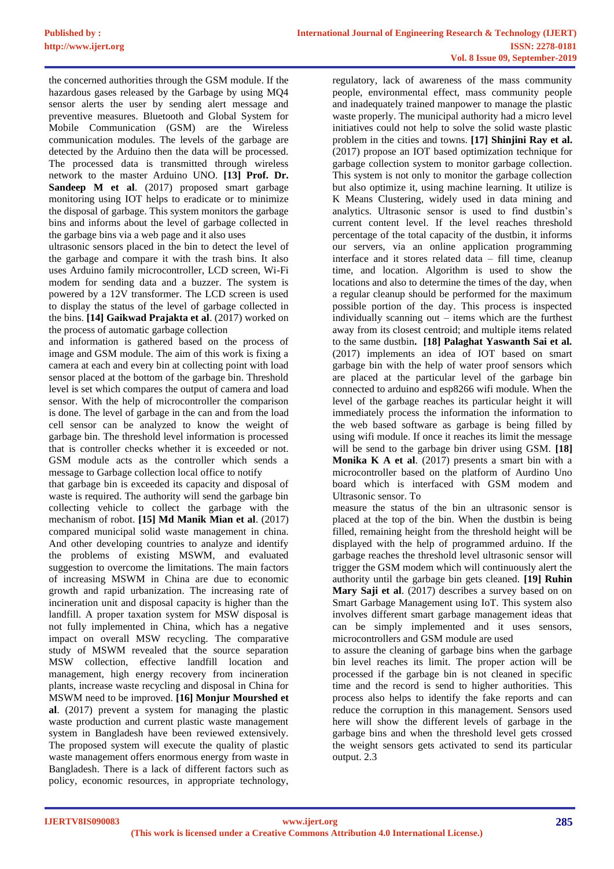the concerned authorities through the GSM module. If the hazardous gases released by the Garbage by using MQ4 sensor alerts the user by sending alert message and preventive measures. Bluetooth and Global System for Mobile Communication (GSM) are the Wireless communication modules. The levels of the garbage are detected by the Arduino then the data will be processed. The processed data is transmitted through wireless network to the master Arduino UNO. **[13] Prof. Dr. Sandeep M et al**. (2017) proposed smart garbage monitoring using IOT helps to eradicate or to minimize the disposal of garbage. This system monitors the garbage bins and informs about the level of garbage collected in the garbage bins via a web page and it also uses

ultrasonic sensors placed in the bin to detect the level of the garbage and compare it with the trash bins. It also uses Arduino family microcontroller, LCD screen, Wi-Fi modem for sending data and a buzzer. The system is powered by a 12V transformer. The LCD screen is used to display the status of the level of garbage collected in the bins. **[14] Gaikwad Prajakta et al**. (2017) worked on the process of automatic garbage collection

and information is gathered based on the process of image and GSM module. The aim of this work is fixing a camera at each and every bin at collecting point with load sensor placed at the bottom of the garbage bin. Threshold level is set which compares the output of camera and load sensor. With the help of microcontroller the comparison is done. The level of garbage in the can and from the load cell sensor can be analyzed to know the weight of garbage bin. The threshold level information is processed that is controller checks whether it is exceeded or not. GSM module acts as the controller which sends a message to Garbage collection local office to notify

that garbage bin is exceeded its capacity and disposal of waste is required. The authority will send the garbage bin collecting vehicle to collect the garbage with the mechanism of robot. **[15] Md Manik Mian et al**. (2017) compared municipal solid waste management in china. And other developing countries to analyze and identify the problems of existing MSWM, and evaluated suggestion to overcome the limitations. The main factors of increasing MSWM in China are due to economic growth and rapid urbanization. The increasing rate of incineration unit and disposal capacity is higher than the landfill. A proper taxation system for MSW disposal is not fully implemented in China, which has a negative impact on overall MSW recycling. The comparative study of MSWM revealed that the source separation MSW collection, effective landfill location and management, high energy recovery from incineration plants, increase waste recycling and disposal in China for MSWM need to be improved. **[16] Monjur Mourshed et al**. (2017) prevent a system for managing the plastic waste production and current plastic waste management system in Bangladesh have been reviewed extensively. The proposed system will execute the quality of plastic waste management offers enormous energy from waste in Bangladesh. There is a lack of different factors such as policy, economic resources, in appropriate technology,

regulatory, lack of awareness of the mass community people, environmental effect, mass community people and inadequately trained manpower to manage the plastic waste properly. The municipal authority had a micro level initiatives could not help to solve the solid waste plastic problem in the cities and towns. **[17] Shinjini Ray et al.** (2017) propose an IOT based optimization technique for garbage collection system to monitor garbage collection. This system is not only to monitor the garbage collection but also optimize it, using machine learning. It utilize is K Means Clustering, widely used in data mining and analytics. Ultrasonic sensor is used to find dustbin's current content level. If the level reaches threshold percentage of the total capacity of the dustbin, it informs our servers, via an online application programming interface and it stores related data – fill time, cleanup time, and location. Algorithm is used to show the locations and also to determine the times of the day, when a regular cleanup should be performed for the maximum possible portion of the day. This process is inspected individually scanning out – items which are the furthest away from its closest centroid; and multiple items related to the same dustbin**. [18] Palaghat Yaswanth Sai et al.** (2017) implements an idea of IOT based on smart garbage bin with the help of water proof sensors which are placed at the particular level of the garbage bin connected to arduino and esp8266 wifi module. When the level of the garbage reaches its particular height it will immediately process the information the information to the web based software as garbage is being filled by using wifi module. If once it reaches its limit the message will be send to the garbage bin driver using GSM. **[18] Monika K A et al**. (2017) presents a smart bin with a microcontroller based on the platform of Aurdino Uno board which is interfaced with GSM modem and Ultrasonic sensor. To

measure the status of the bin an ultrasonic sensor is placed at the top of the bin. When the dustbin is being filled, remaining height from the threshold height will be displayed with the help of programmed arduino. If the garbage reaches the threshold level ultrasonic sensor will trigger the GSM modem which will continuously alert the authority until the garbage bin gets cleaned. **[19] Ruhin Mary Saji et al**. (2017) describes a survey based on on Smart Garbage Management using IoT. This system also involves different smart garbage management ideas that can be simply implemented and it uses sensors, microcontrollers and GSM module are used

to assure the cleaning of garbage bins when the garbage bin level reaches its limit. The proper action will be processed if the garbage bin is not cleaned in specific time and the record is send to higher authorities. This process also helps to identify the fake reports and can reduce the corruption in this management. Sensors used here will show the different levels of garbage in the garbage bins and when the threshold level gets crossed the weight sensors gets activated to send its particular output. 2.3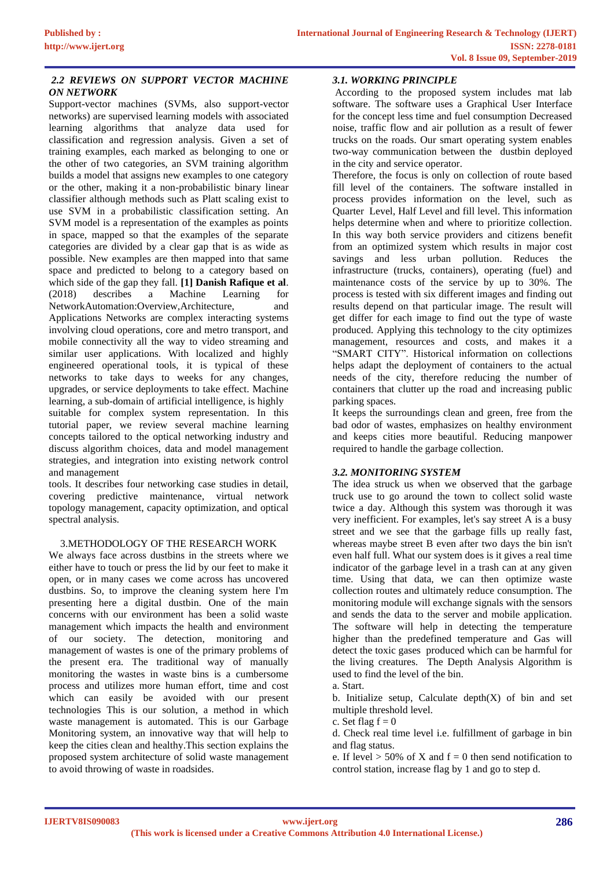#### *2.2 REVIEWS ON SUPPORT VECTOR MACHINE ON NETWORK*

Support-vector machines (SVMs, also support-vector networks) are supervised learning models with associated learning algorithms that analyze data used for classification and regression analysis. Given a set of training examples, each marked as belonging to one or the other of two categories, an SVM training algorithm builds a model that assigns new examples to one category or the other, making it a non-probabilistic binary linear classifier although methods such as Platt scaling exist to use SVM in a probabilistic classification setting. An SVM model is a representation of the examples as points in space, mapped so that the examples of the separate categories are divided by a clear gap that is as wide as possible. New examples are then mapped into that same space and predicted to belong to a category based on which side of the gap they fall. **[1] Danish Rafique et al**. (2018) describes a Machine Learning for NetworkAutomation:Overview,Architecture, and Applications Networks are complex interacting systems involving cloud operations, core and metro transport, and mobile connectivity all the way to video streaming and similar user applications. With localized and highly engineered operational tools, it is typical of these networks to take days to weeks for any changes, upgrades, or service deployments to take effect. Machine learning, a sub-domain of artificial intelligence, is highly suitable for complex system representation. In this tutorial paper, we review several machine learning concepts tailored to the optical networking industry and discuss algorithm choices, data and model management strategies, and integration into existing network control and management

tools. It describes four networking case studies in detail, covering predictive maintenance, virtual network topology management, capacity optimization, and optical spectral analysis.

# 3.METHODOLOGY OF THE RESEARCH WORK

We always face across dustbins in the streets where we either have to touch or press the lid by our feet to make it open, or in many cases we come across has uncovered dustbins. So, to improve the cleaning system here I'm presenting here a digital dustbin. One of the main concerns with our environment has been a solid waste management which impacts the health and environment of our society. The detection, monitoring and management of wastes is one of the primary problems of the present era. The traditional way of manually monitoring the wastes in waste bins is a cumbersome process and utilizes more human effort, time and cost which can easily be avoided with our present technologies This is our solution, a method in which waste management is automated. This is our Garbage Monitoring system, an innovative way that will help to keep the cities clean and healthy.This section explains the proposed system architecture of solid waste management to avoid throwing of waste in roadsides.

#### *3.1. WORKING PRINCIPLE*

According to the proposed system includes mat lab software. The software uses a Graphical User Interface for the concept less time and fuel consumption Decreased noise, traffic flow and air pollution as a result of fewer trucks on the roads. Our smart operating system enables two-way communication between the dustbin deployed in the city and service operator.

Therefore, the focus is only on collection of route based fill level of the containers. The software installed in process provides information on the level, such as Quarter Level, Half Level and fill level. This information helps determine when and where to prioritize collection. In this way both service providers and citizens benefit from an optimized system which results in major cost savings and less urban pollution. Reduces the infrastructure (trucks, containers), operating (fuel) and maintenance costs of the service by up to 30%. The process is tested with six different images and finding out results depend on that particular image. The result will get differ for each image to find out the type of waste produced. Applying this technology to the city optimizes management, resources and costs, and makes it a "SMART CITY". Historical information on collections helps adapt the deployment of containers to the actual needs of the city, therefore reducing the number of containers that clutter up the road and increasing public parking spaces.

It keeps the surroundings clean and green, free from the bad odor of wastes, emphasizes on healthy environment and keeps cities more beautiful. Reducing manpower required to handle the garbage collection.

# *3.2. MONITORING SYSTEM*

The idea struck us when we observed that the garbage truck use to go around the town to collect solid waste twice a day. Although this system was thorough it was very inefficient. For examples, let's say street A is a busy street and we see that the garbage fills up really fast, whereas maybe street B even after two days the bin isn't even half full. What our system does is it gives a real time indicator of the garbage level in a trash can at any given time. Using that data, we can then optimize waste collection routes and ultimately reduce consumption. The monitoring module will exchange signals with the sensors and sends the data to the server and mobile application. The software will help in detecting the temperature higher than the predefined temperature and Gas will detect the toxic gases produced which can be harmful for the living creatures. The Depth Analysis Algorithm is used to find the level of the bin.

a. Start.

b. Initialize setup, Calculate depth $(X)$  of bin and set multiple threshold level.

c. Set flag  $f = 0$ 

d. Check real time level i.e. fulfillment of garbage in bin and flag status.

e. If level  $> 50\%$  of X and  $f = 0$  then send notification to control station, increase flag by 1 and go to step d.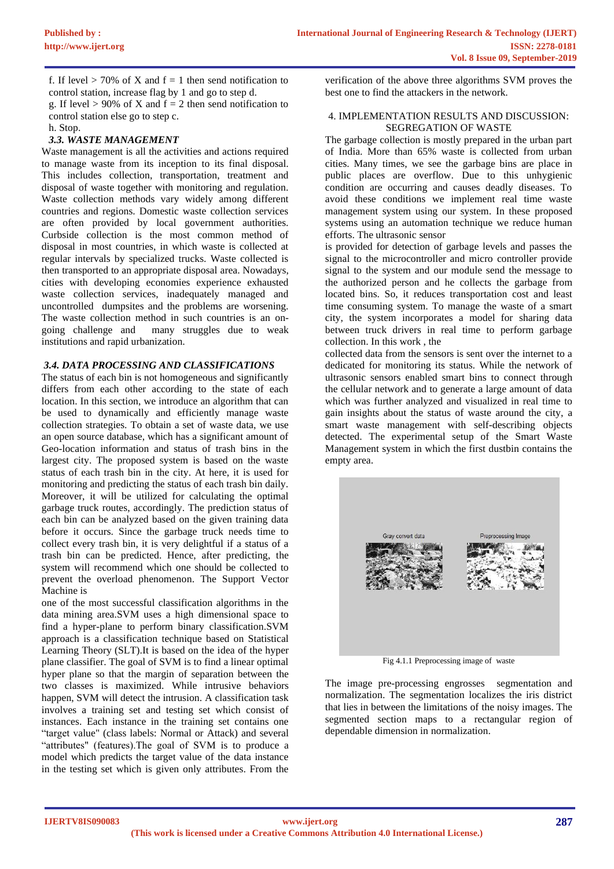f. If level  $> 70\%$  of X and f = 1 then send notification to control station, increase flag by 1 and go to step d. g. If level  $> 90\%$  of X and  $f = 2$  then send notification to control station else go to step c.

h. Stop.

# *3.3. WASTE MANAGEMENT*

Waste management is all the activities and actions required to manage waste from its inception to its final disposal. This includes collection, transportation, treatment and disposal of waste together with monitoring and regulation. Waste collection methods vary widely among different countries and regions. Domestic waste collection services are often provided by local government authorities. Curbside collection is the most common method of disposal in most countries, in which waste is collected at regular intervals by specialized trucks. Waste collected is then transported to an appropriate disposal area. Nowadays, cities with developing economies experience exhausted waste collection services, inadequately managed and uncontrolled dumpsites and the problems are worsening. The waste collection method in such countries is an ongoing challenge and many struggles due to weak institutions and rapid urbanization.

#### *3.4. DATA PROCESSING AND CLASSIFICATIONS*

The status of each bin is not homogeneous and significantly differs from each other according to the state of each location. In this section, we introduce an algorithm that can be used to dynamically and efficiently manage waste collection strategies. To obtain a set of waste data, we use an open source database, which has a significant amount of Geo-location information and status of trash bins in the largest city. The proposed system is based on the waste status of each trash bin in the city. At here, it is used for monitoring and predicting the status of each trash bin daily. Moreover, it will be utilized for calculating the optimal garbage truck routes, accordingly. The prediction status of each bin can be analyzed based on the given training data before it occurs. Since the garbage truck needs time to collect every trash bin, it is very delightful if a status of a trash bin can be predicted. Hence, after predicting, the system will recommend which one should be collected to prevent the overload phenomenon. The Support Vector Machine is

one of the most successful classification algorithms in the data mining area.SVM uses a high dimensional space to find a hyper-plane to perform binary classification.SVM approach is a classification technique based on Statistical Learning Theory (SLT).It is based on the idea of the hyper plane classifier. The goal of SVM is to find a linear optimal hyper plane so that the margin of separation between the two classes is maximized. While intrusive behaviors happen, SVM will detect the intrusion. A classification task involves a training set and testing set which consist of instances. Each instance in the training set contains one "target value" (class labels: Normal or Attack) and several "attributes" (features).The goal of SVM is to produce a model which predicts the target value of the data instance in the testing set which is given only attributes. From the verification of the above three algorithms SVM proves the best one to find the attackers in the network.

#### 4. IMPLEMENTATION RESULTS AND DISCUSSION: SEGREGATION OF WASTE

The garbage collection is mostly prepared in the urban part of India. More than 65% waste is collected from urban cities. Many times, we see the garbage bins are place in public places are overflow. Due to this unhygienic condition are occurring and causes deadly diseases. To avoid these conditions we implement real time waste management system using our system. In these proposed systems using an automation technique we reduce human efforts. The ultrasonic sensor

is provided for detection of garbage levels and passes the signal to the microcontroller and micro controller provide signal to the system and our module send the message to the authorized person and he collects the garbage from located bins. So, it reduces transportation cost and least time consuming system. To manage the waste of a smart city, the system incorporates a model for sharing data between truck drivers in real time to perform garbage collection. In this work , the

collected data from the sensors is sent over the internet to a dedicated for monitoring its status. While the network of ultrasonic sensors enabled smart bins to connect through the cellular network and to generate a large amount of data which was further analyzed and visualized in real time to gain insights about the status of waste around the city, a smart waste management with self-describing objects detected. The experimental setup of the Smart Waste Management system in which the first dustbin contains the empty area.



Fig 4.1.1 Preprocessing image of waste

The image pre-processing engrosses segmentation and normalization. The segmentation localizes the iris district that lies in between the limitations of the noisy images. The segmented section maps to a rectangular region of dependable dimension in normalization.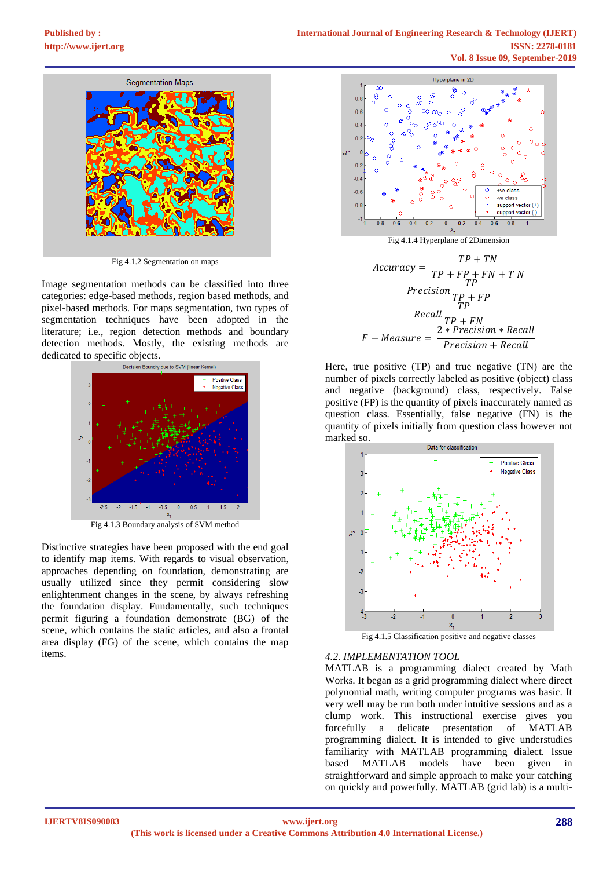

Fig 4.1.2 Segmentation on maps

Image segmentation methods can be classified into three categories: edge-based methods, region based methods, and pixel-based methods. For maps segmentation, two types of segmentation techniques have been adopted in the literature; i.e., region detection methods and boundary detection methods. Mostly, the existing methods are dedicated to specific objects.<br>Decision Boundry due to SVM (linear Kernel)



Fig 4.1.3 Boundary analysis of SVM method

Distinctive strategies have been proposed with the end goal to identify map items. With regards to visual observation, approaches depending on foundation, demonstrating are usually utilized since they permit considering slow enlightenment changes in the scene, by always refreshing the foundation display. Fundamentally, such techniques permit figuring a foundation demonstrate (BG) of the scene, which contains the static articles, and also a frontal area display (FG) of the scene, which contains the map items.



Fig 4.1.4 Hyperplane of 2Dimension

$$
Accuracy = \frac{TP + TN}{TP + FP + FN + TN}
$$
  
\n
$$
Precision \frac{TP}{TP + FP}
$$
  
\n
$$
Recall \frac{TP}{TP + FN}
$$
  
\n
$$
F - Measure = \frac{2 * Precision * Recall}{Precision + Recall}
$$

Here, true positive (TP) and true negative (TN) are the number of pixels correctly labeled as positive (object) class and negative (background) class, respectively. False positive (FP) is the quantity of pixels inaccurately named as question class. Essentially, false negative (FN) is the quantity of pixels initially from question class however not marked so.



Fig 4.1.5 Classification positive and negative classes

#### *4.2. IMPLEMENTATION TOOL*

MATLAB is a programming dialect created by Math Works. It began as a grid programming dialect where direct polynomial math, writing computer programs was basic. It very well may be run both under intuitive sessions and as a clump work. This instructional exercise gives you forcefully a delicate presentation of MATLAB programming dialect. It is intended to give understudies familiarity with MATLAB programming dialect. Issue based MATLAB models have been given in straightforward and simple approach to make your catching on quickly and powerfully. MATLAB (grid lab) is a multi-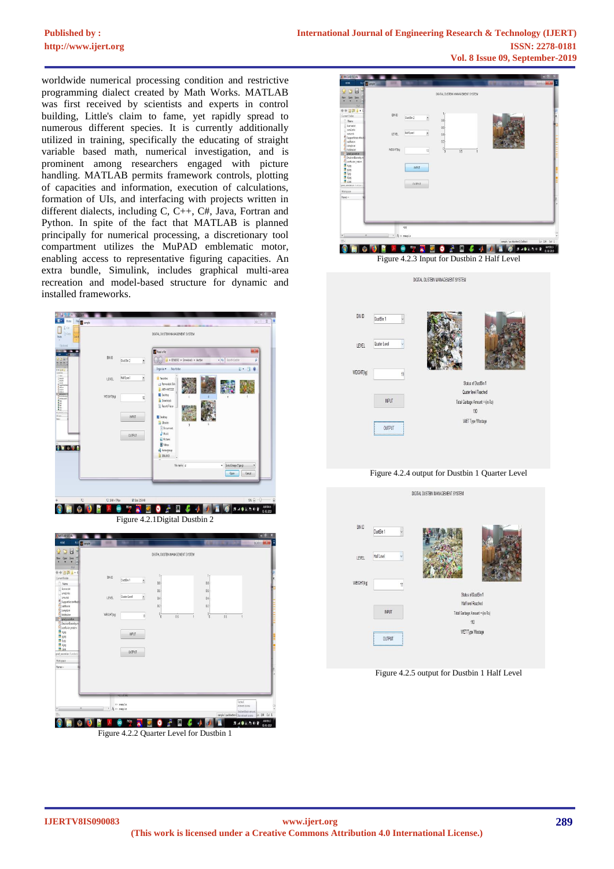# **[Published by :](www.ijert.org)**

worldwide numerical processing condition and restrictive programming dialect created by Math Works. MATLAB was first received by scientists and experts in control building, Little's claim to fame, yet rapidly spread to numerous different species. It is currently additionally utilized in training, specifically the educating of straight variable based math, numerical investigation, and is prominent among researchers engaged with picture handling. MATLAB permits framework controls, plotting of capacities and information, execution of calculations, formation of UIs, and interfacing with projects written in different dialects, including C, C++, C#, Java, Fortran and Python. In spite of the fact that MATLAB is planned principally for numerical processing, a discretionary tool compartment utilizes the MuPAD emblematic motor, enabling access to representative figuring capacities. An extra bundle, Simulink, includes graphical multi-area recreation and model-based structure for dynamic and installed frameworks.







Figure 4.2.4 output for Dustbin 1 Quarter Level



Figure 4.2.5 output for Dustbin 1 Half Level

Figure 4.2.2 Quarter Level for Dustbin 1

**BAGSROB** 

output

**SHOOK A STROP OF A DEA** 

 $\rightarrow$  sample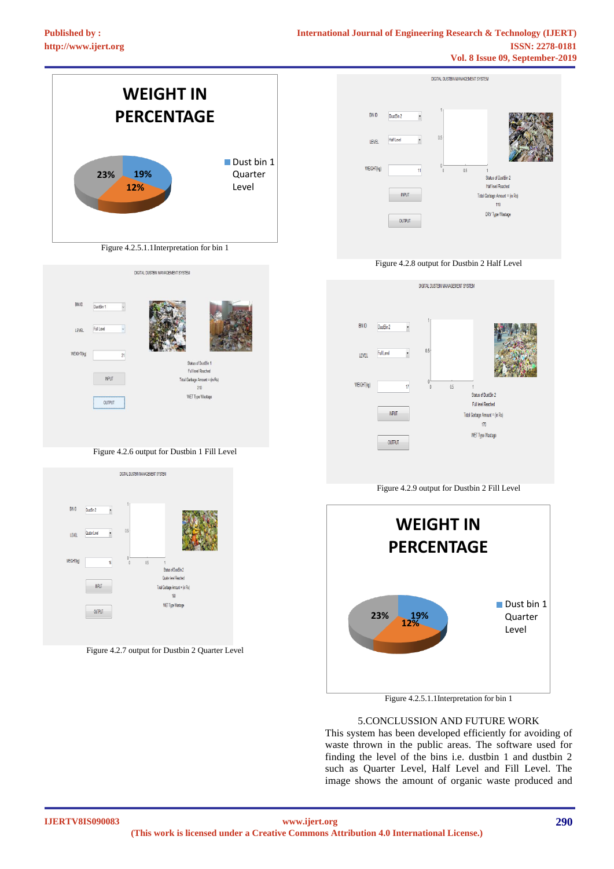

Figure 4.2.5.1.1Interpretation for bin 1

#### 5.CONCLUSSION AND FUTURE WORK

This system has been developed efficiently for avoiding of waste thrown in the public areas. The software used for finding the level of the bins i.e. dustbin 1 and dustbin 2 such as Quarter Level, Half Level and Fill Level. The image shows the amount of organic waste produced and